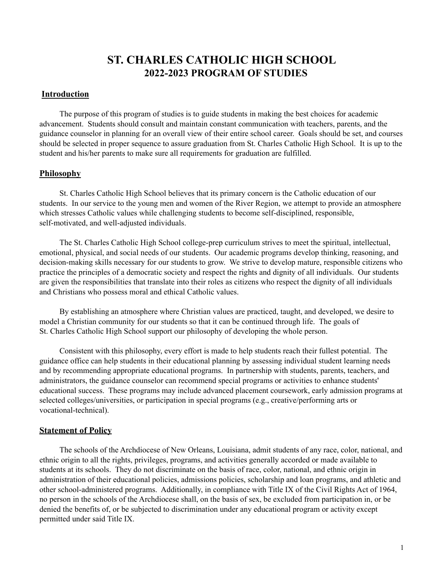# **ST. CHARLES CATHOLIC HIGH SCHOOL 2022-2023 PROGRAM OF STUDIES**

### **Introduction**

The purpose of this program of studies is to guide students in making the best choices for academic advancement. Students should consult and maintain constant communication with teachers, parents, and the guidance counselor in planning for an overall view of their entire school career. Goals should be set, and courses should be selected in proper sequence to assure graduation from St. Charles Catholic High School. It is up to the student and his/her parents to make sure all requirements for graduation are fulfilled.

### **Philosophy**

St. Charles Catholic High School believes that its primary concern is the Catholic education of our students. In our service to the young men and women of the River Region, we attempt to provide an atmosphere which stresses Catholic values while challenging students to become self-disciplined, responsible, self-motivated, and well-adjusted individuals.

The St. Charles Catholic High School college-prep curriculum strives to meet the spiritual, intellectual, emotional, physical, and social needs of our students. Our academic programs develop thinking, reasoning, and decision-making skills necessary for our students to grow. We strive to develop mature, responsible citizens who practice the principles of a democratic society and respect the rights and dignity of all individuals. Our students are given the responsibilities that translate into their roles as citizens who respect the dignity of all individuals and Christians who possess moral and ethical Catholic values.

By establishing an atmosphere where Christian values are practiced, taught, and developed, we desire to model a Christian community for our students so that it can be continued through life. The goals of St. Charles Catholic High School support our philosophy of developing the whole person.

Consistent with this philosophy, every effort is made to help students reach their fullest potential. The guidance office can help students in their educational planning by assessing individual student learning needs and by recommending appropriate educational programs. In partnership with students, parents, teachers, and administrators, the guidance counselor can recommend special programs or activities to enhance students' educational success. These programs may include advanced placement coursework, early admission programs at selected colleges/universities, or participation in special programs (e.g., creative/performing arts or vocational-technical).

#### **Statement of Policy**

The schools of the Archdiocese of New Orleans, Louisiana, admit students of any race, color, national, and ethnic origin to all the rights, privileges, programs, and activities generally accorded or made available to students at its schools. They do not discriminate on the basis of race, color, national, and ethnic origin in administration of their educational policies, admissions policies, scholarship and loan programs, and athletic and other school-administered programs. Additionally, in compliance with Title IX of the Civil Rights Act of 1964, no person in the schools of the Archdiocese shall, on the basis of sex, be excluded from participation in, or be denied the benefits of, or be subjected to discrimination under any educational program or activity except permitted under said Title IX.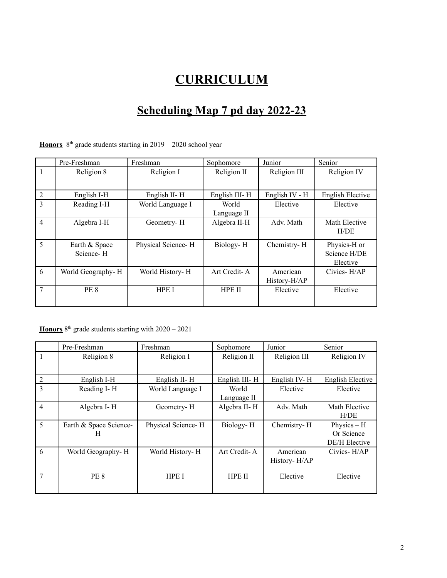# **CURRICULUM**

# **Scheduling Map 7 pd day 2022-23**

**Honors**  $8<sup>th</sup>$  grade students starting in  $2019 - 2020$  school year

|                | Pre-Freshman      | Freshman           | Sophomore     | Junior         | Senior                  |
|----------------|-------------------|--------------------|---------------|----------------|-------------------------|
|                | Religion 8        | Religion I         | Religion II   | Religion III   | Religion IV             |
|                |                   |                    |               |                |                         |
| 2              | English I-H       | English II-H       | English III-H | English IV - H | <b>English Elective</b> |
| 3              | Reading I-H       | World Language I   | World         | Elective       | Elective                |
|                |                   |                    | Language II   |                |                         |
| $\overline{4}$ | Algebra I-H       | Geometry-H         | Algebra II-H  | Adv. Math      | Math Elective           |
|                |                   |                    |               |                | H/DE                    |
| 5              | Earth & Space     | Physical Science-H | Biology-H     | Chemistry-H    | Physics-H or            |
|                | Science-H         |                    |               |                | Science H/DE            |
|                |                   |                    |               |                | Elective                |
| 6              | World Geography-H | World History-H    | Art Credit-A  | American       | Civics- $H$ $AP$        |
|                |                   |                    |               | History-H/AP   |                         |
| 7              | PE 8              | HPE I              | HPE II        | Elective       | Elective                |
|                |                   |                    |               |                |                         |

**Honors**  $8<sup>th</sup>$  grade students starting with  $2020 - 2021$ 

|                | Pre-Freshman           | Freshman           | Sophomore     | Junior       | Senior               |
|----------------|------------------------|--------------------|---------------|--------------|----------------------|
|                | Religion 8             | Religion I         | Religion II   | Religion III | Religion IV          |
|                |                        |                    |               |              |                      |
| $\overline{2}$ | English I-H            | English II-H       | English III-H | English IV-H | English Elective     |
| 3              | Reading I-H            | World Language I   | World         | Elective     | Elective             |
|                |                        |                    | Language II   |              |                      |
| $\overline{4}$ | Algebra I-H            | Geometry-H         | Algebra II-H  | Adv. Math    | Math Elective        |
|                |                        |                    |               |              | H/DE                 |
| 5              | Earth & Space Science- | Physical Science-H | Biology-H     | Chemistry-H  | Physics $- H$        |
|                | н                      |                    |               |              | Or Science           |
|                |                        |                    |               |              | <b>DE/H</b> Elective |
| 6              | World Geography-H      | World History- H   | Art Credit-A  | American     | Civics-H/AP          |
|                |                        |                    |               | History-H/AP |                      |
|                |                        |                    |               |              |                      |
| 7              | PE <sub>8</sub>        | HPE I              | HPE II        | Elective     | Elective             |
|                |                        |                    |               |              |                      |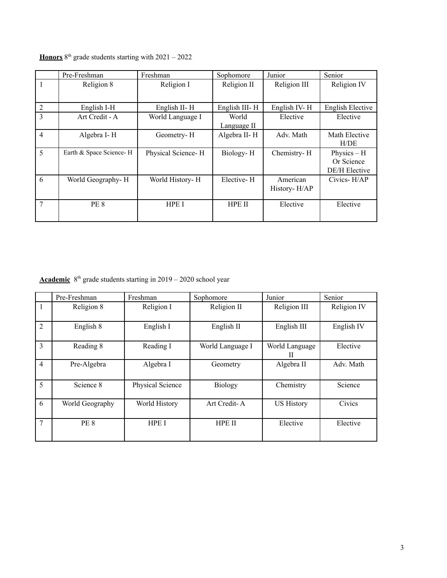|                | Pre-Freshman            | Freshman           | Sophomore     | Junior       | Senior           |
|----------------|-------------------------|--------------------|---------------|--------------|------------------|
|                | Religion 8              | Religion I         | Religion II   | Religion III | Religion IV      |
|                |                         |                    |               |              |                  |
| 2              | English I-H             | English II-H       | English III-H | English IV-H | English Elective |
| 3              | Art Credit - A          | World Language I   | World         | Elective     | Elective         |
|                |                         |                    | Language II   |              |                  |
| $\overline{4}$ | Algebra I-H             | Geometry-H         | Algebra II-H  | Adv. Math    | Math Elective    |
|                |                         |                    |               |              | H/DE             |
| 5              | Earth & Space Science-H | Physical Science-H | Biology-H     | Chemistry-H  | Physics $- H$    |
|                |                         |                    |               |              | Or Science       |
|                |                         |                    |               |              | DE/H Elective    |
| 6              | World Geography-H       | World History-H    | Elective-H    | American     | Civics-H/AP      |
|                |                         |                    |               | History-H/AP |                  |
|                |                         |                    |               |              |                  |
| 7              | PE 8                    | HPE I              | <b>HPE II</b> | Elective     | Elective         |
|                |                         |                    |               |              |                  |

**Honors**  $8^{th}$  grade students starting with  $2021 - 2022$ 

**Academic** 8<sup>th</sup> grade students starting in 2019 – 2020 school year

|                | Pre-Freshman    | Freshman         | Sophomore        | Junior              | Senior      |
|----------------|-----------------|------------------|------------------|---------------------|-------------|
|                | Religion 8      | Religion I       | Religion II      | Religion III        | Religion IV |
| $\overline{2}$ | English 8       | English I        | English II       | English III         | English IV  |
| 3              | Reading 8       | Reading I        | World Language I | World Language<br>H | Elective    |
| 4              | Pre-Algebra     | Algebra I        | Geometry         | Algebra II          | Adv. Math   |
| 5              | Science 8       | Physical Science | Biology          | Chemistry           | Science     |
| 6              | World Geography | World History    | Art Credit-A     | <b>US History</b>   | Civics      |
| 7              | <b>PE 8</b>     | HPE I            | HPE II           | Elective            | Elective    |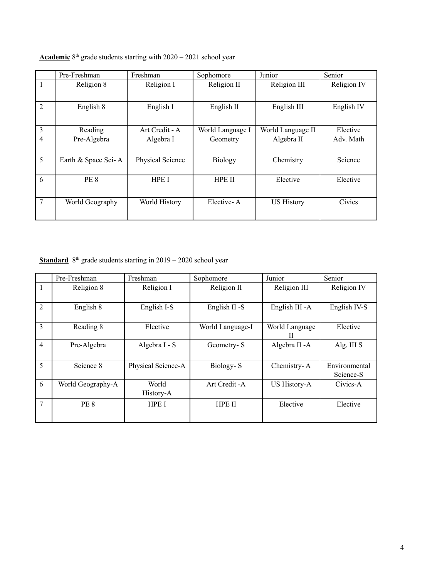|                | Pre-Freshman        | Freshman         | Sophomore        | Junior            | Senior      |
|----------------|---------------------|------------------|------------------|-------------------|-------------|
|                | Religion 8          | Religion I       | Religion II      | Religion III      | Religion IV |
| $\overline{2}$ | English 8           | English I        | English II       | English III       | English IV  |
| 3              | Reading             | Art Credit - A   | World Language I | World Language II | Elective    |
| $\overline{4}$ | Pre-Algebra         | Algebra I        | Geometry         | Algebra II        | Adv. Math   |
| 5              | Earth & Space Sci-A | Physical Science | Biology          | Chemistry         | Science     |
| 6              | PE 8                | HPE I            | <b>HPE II</b>    | Elective          | Elective    |
| 7              | World Geography     | World History    | Elective-A       | <b>US History</b> | Civics      |

# **Academic** 8<sup>th</sup> grade students starting with 2020 – 2021 school year

**Standard** 8<sup>th</sup> grade students starting in 2019 – 2020 school year

|                | Pre-Freshman      | Freshman           | Sophomore        | Junior              | Senior                     |
|----------------|-------------------|--------------------|------------------|---------------------|----------------------------|
|                | Religion 8        | Religion I         | Religion II      | Religion III        | Religion IV                |
| $\overline{2}$ | English 8         | English I-S        | English II -S    | English III - A     | English IV-S               |
| 3              | Reading 8         | Elective           | World Language-I | World Language<br>Н | Elective                   |
| $\overline{4}$ | Pre-Algebra       | Algebra I - S      | Geometry-S       | Algebra II - A      | Alg. III S                 |
| 5              | Science 8         | Physical Science-A | Biology-S        | Chemistry-A         | Environmental<br>Science-S |
| 6              | World Geography-A | World<br>History-A | Art Credit - A   | <b>US History-A</b> | Civics-A                   |
| 7              | PE 8              | HPE I              | HPE II           | Elective            | Elective                   |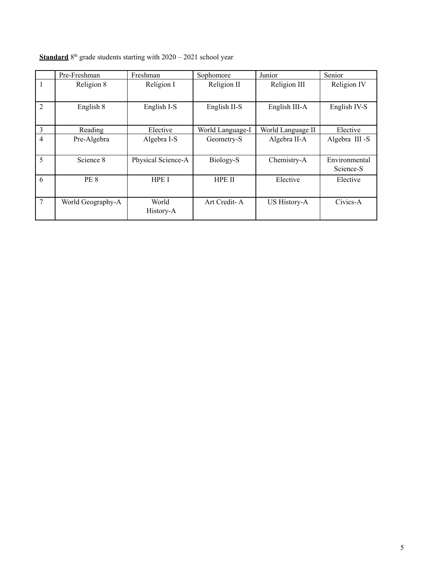|                | Pre-Freshman      | Freshman           | Sophomore        | Junior            | Senior                     |
|----------------|-------------------|--------------------|------------------|-------------------|----------------------------|
|                | Religion 8        | Religion I         | Religion II      | Religion III      | Religion IV                |
| $\overline{2}$ | English 8         | English I-S        | English II-S     | English III-A     | English IV-S               |
| 3              | Reading           | Elective           | World Language-I | World Language II | Elective                   |
| $\overline{4}$ | Pre-Algebra       | Algebra I-S        | Geometry-S       | Algebra II-A      | Algebra III -S             |
| 5              | Science 8         | Physical Science-A | Biology-S        | Chemistry-A       | Environmental<br>Science-S |
| 6              | PE 8              | <b>HPE I</b>       | <b>HPE II</b>    | Elective          | Elective                   |
| 7              | World Geography-A | World<br>History-A | Art Credit-A     | US History-A      | Civics-A                   |

# **Standard**  $8<sup>th</sup>$  grade students starting with  $2020 - 2021$  school year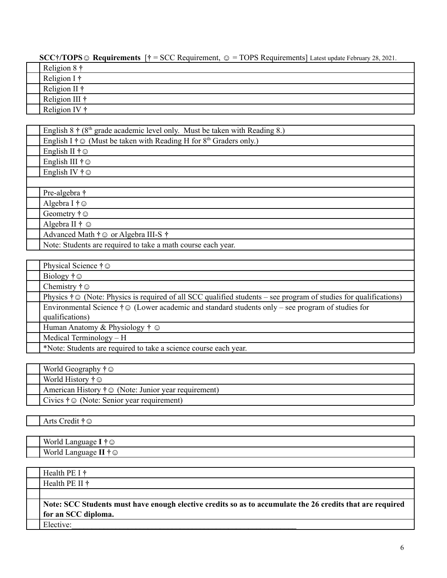**SCC†/TOPS☺ Requirements** [**†** = SCC Requirement, ☺ = TOPS Requirements] Latest update February 28, 2021.

| Religion $8 \dagger$  |
|-----------------------|
| Religion I $\dagger$  |
| Religion II $\dagger$ |
| Religion III †        |
| Religion IV $\dagger$ |

| English $8 \dagger (8^{th} \text{ grade academic level only. Must be taken with Reading 8.)$ |  |
|----------------------------------------------------------------------------------------------|--|
| English I $\dagger \odot$ (Must be taken with Reading H for 8 <sup>th</sup> Graders only.)   |  |
| English II $\dagger \odot$                                                                   |  |
| English III $\dagger \odot$                                                                  |  |
| English IV $\dagger \odot$                                                                   |  |
|                                                                                              |  |
| Pre-algebra †                                                                                |  |
| Algebra I $\dagger \odot$                                                                    |  |
| Geometry $\dagger \odot$                                                                     |  |
| Algebra II $\dagger \odot$                                                                   |  |
| Advanced Math $\dagger \odot$ or Algebra III-S $\dagger$                                     |  |
| Note: Students are required to take a math course each year.                                 |  |
|                                                                                              |  |

| Physical Science $\dagger \odot$                                                                                              |
|-------------------------------------------------------------------------------------------------------------------------------|
| Biology $\dagger \odot$                                                                                                       |
| Chemistry $\dagger \odot$                                                                                                     |
| Physics $\dagger \odot$ (Note: Physics is required of all SCC qualified students – see program of studies for qualifications) |
| Environmental Science $\dagger \odot$ (Lower academic and standard students only – see program of studies for                 |
| qualifications)                                                                                                               |
| Human Anatomy & Physiology $\dagger \odot$                                                                                    |
| Medical Terminology $- H$                                                                                                     |
| *Note: Students are required to take a science course each year.                                                              |

| World Geography $\dagger \odot$                                  |  |
|------------------------------------------------------------------|--|
| World History $\dagger \odot$                                    |  |
| American History $\dagger \odot$ (Note: Junior year requirement) |  |
| Civics $\dagger \odot$ (Note: Senior year requirement)           |  |

Arts Credit **†☺**

| .<br><b>TTT</b><br>World<br>Languas<br>$\cdot$<br>ש |
|-----------------------------------------------------|
| $\sim$<br>World<br>Languag<br>ಲ                     |

| Health PE I $\dagger$                                                                                     |
|-----------------------------------------------------------------------------------------------------------|
| Health PE II $\dagger$                                                                                    |
|                                                                                                           |
| Note: SCC Students must have enough elective credits so as to accumulate the 26 credits that are required |
| for an SCC diploma.                                                                                       |
| Elective:                                                                                                 |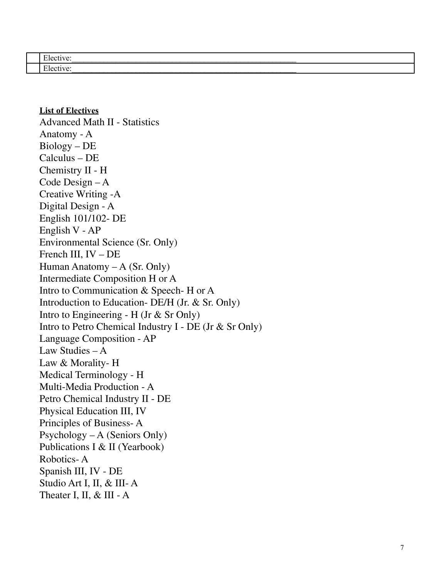### **List of Electives**

 $\frac{1}{\text{Advanced Math II - Statistics}}$ Anatomy - A Biology – DE Calculus – DE Chemistry II - H Code Design – A Creative Writing -A Digital Design - A English 101/102- DE English V - AP Environmental Science (Sr. Only) French III, IV – DE Human Anatomy – A (Sr. Only) Intermediate Composition H or A Intro to Communication & Speech- H or A Introduction to Education- DE/H (Jr. & Sr. Only) Intro to Engineering - H (Jr  $\&$  Sr Only) Intro to Petro Chemical Industry I - DE (Jr & Sr Only) Language Composition - AP Law Studies – A Law & Morality- H Medical Terminology - H Multi-Media Production - A Petro Chemical Industry II - DE Physical Education III, IV Principles of Business-A Psychology – A (Seniors Only) Publications I & II (Yearbook) Robotics- A Spanish III, IV - DE Studio Art I, II, & III- A Theater I, II,  $\&$  III - A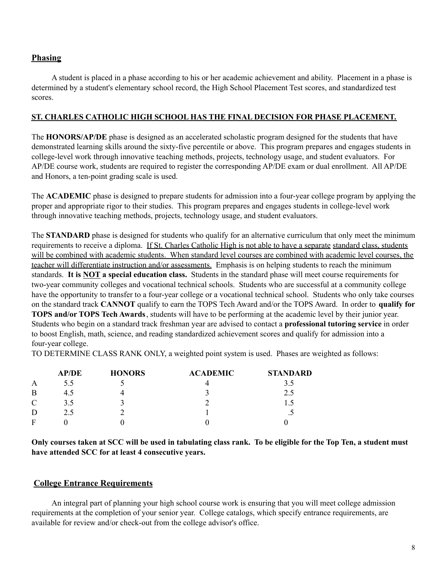# **Phasing**

A student is placed in a phase according to his or her academic achievement and ability. Placement in a phase is determined by a student's elementary school record, the High School Placement Test scores, and standardized test scores.

### **ST. CHARLES CATHOLIC HIGH SCHOOL HAS THE FINAL DECISION FOR PHASE PLACEMENT.**

The **HONORS/AP/DE** phase is designed as an accelerated scholastic program designed for the students that have demonstrated learning skills around the sixty-five percentile or above. This program prepares and engages students in college-level work through innovative teaching methods, projects, technology usage, and student evaluators. For AP/DE course work, students are required to register the corresponding AP/DE exam or dual enrollment. All AP/DE and Honors, a ten-point grading scale is used.

The **ACADEMIC** phase is designed to prepare students for admission into a four-year college program by applying the proper and appropriate rigor to their studies. This program prepares and engages students in college-level work through innovative teaching methods, projects, technology usage, and student evaluators.

The **STANDARD** phase is designed for students who qualify for an alternative curriculum that only meet the minimum requirements to receive a diploma. If St. Charles Catholic High is not able to have a separate standard class, students will be combined with academic students. When standard level courses are combined with academic level courses, the teacher will differentiate instruction and/or assessments. Emphasis is on helping students to reach the minimum standards. **It is NOT a special education class.** Students in the standard phase will meet course requirements for two-year community colleges and vocational technical schools. Students who are successful at a community college have the opportunity to transfer to a four-year college or a vocational technical school. Students who only take courses on the standard track **CANNOT** qualify to earn the TOPS Tech Award and/or the TOPS Award. In order to **qualify for TOPS and/or TOPS Tech Awards**, students will have to be performing at the academic level by their junior year. Students who begin on a standard track freshman year are advised to contact a **professional tutoring service** in order to boost English, math, science, and reading standardized achievement scores and qualify for admission into a four-year college.

TO DETERMINE CLASS RANK ONLY, a weighted point system is used. Phases are weighted as follows:

|               | <b>AP/DE</b> | <b>HONORS</b> | <b>ACADEMIC</b> | <b>STANDARD</b>      |
|---------------|--------------|---------------|-----------------|----------------------|
| A             | 5.5          |               |                 |                      |
| B             | 4.5          |               |                 | 2.5                  |
| $\mathcal{C}$ | 3.5          |               |                 |                      |
|               | 2.5          |               |                 | $\ddot{\phantom{0}}$ |
|               |              |               |                 |                      |

Only courses taken at SCC will be used in tabulating class rank. To be eligible for the Top Ten, a student must **have attended SCC for at least 4 consecutive years.**

### **College Entrance Requirements**

An integral part of planning your high school course work is ensuring that you will meet college admission requirements at the completion of your senior year. College catalogs, which specify entrance requirements, are available for review and/or check-out from the college advisor's office.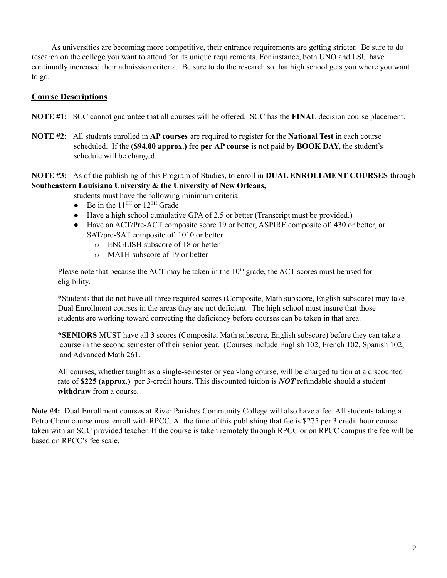As universities are becoming more competitive, their entrance requirements are getting stricter. Be sure to do research on the college you want to attend for its unique requirements. For instance, both UNO and LSU have continually increased their admission criteria. Be sure to do the research so that high school gets you where you want to go.

# **Course Descriptions**

**NOTE #1:** SCC cannot guarantee that all courses will be offered. SCC has the **FINAL** decision course placement.

**NOTE #2:** All students enrolled in **AP courses** are required to register for the **National Test** in each course scheduled. If the (**\$94.00 approx.)** fee **per AP course** is not paid by **BOOK DAY,** the student's schedule will be changed.

### **NOTE #3:** As of the publishing of this Program of Studies, to enroll in **DUAL ENROLLMENT COURSES** through **Southeastern Louisiana University & the University of New Orleans,**

students must have the following minimum criteria:

- Be in the  $11^{\text{TH}}$  or  $12^{\text{TH}}$  Grade
- Have a high school cumulative GPA of 2.5 or better (Transcript must be provided.)
- Have an ACT/Pre-ACT composite score 19 or better, ASPIRE composite of 430 or better, or SAT/pre-SAT composite of 1010 or better
	- o ENGLISH subscore of 18 or better
	- o MATH subscore of 19 or better

Please note that because the ACT may be taken in the  $10<sup>th</sup>$  grade, the ACT scores must be used for eligibility.

\*Students that do not have all three required scores (Composite, Math subscore, English subscore) may take Dual Enrollment courses in the areas they are not deficient. The high school must insure that those students are working toward correcting the deficiency before courses can be taken in that area.

**\*SENIORS** MUST have all **3** scores (Composite, Math subscore, English subscore) before they can take a course in the second semester of their senior year. (Courses include English 102, French 102, Spanish 102, and Advanced Math 261.

All courses, whether taught as a single-semester or year-long course, will be charged tuition at a discounted rate of **\$225 (approx.)** per 3-credit hours. This discounted tuition is *NOT* refundable should a student **withdraw** from a course.

**Note #4:** Dual Enrollment courses at River Parishes Community College will also have a fee. All students taking a Petro Chem course must enroll with RPCC. At the time of this publishing that fee is \$275 per 3 credit hour course taken with an SCC provided teacher. If the course is taken remotely through RPCC or on RPCC campus the fee will be based on RPCC's fee scale.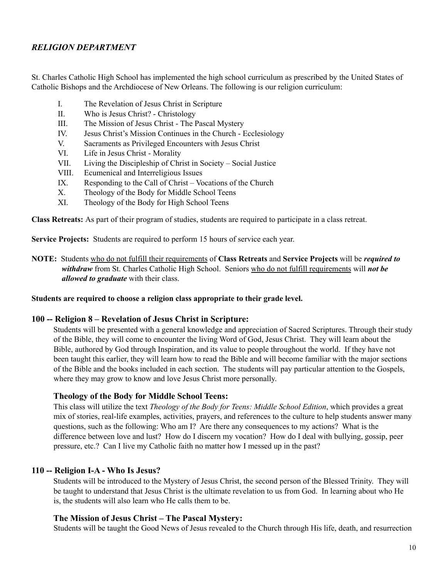# *RELIGION DEPARTMENT*

St. Charles Catholic High School has implemented the high school curriculum as prescribed by the United States of Catholic Bishops and the Archdiocese of New Orleans. The following is our religion curriculum:

- I. The Revelation of Jesus Christ in Scripture
- II. Who is Jesus Christ? Christology
- III. The Mission of Jesus Christ The Pascal Mystery
- IV. Jesus Christ's Mission Continues in the Church Ecclesiology
- V. Sacraments as Privileged Encounters with Jesus Christ
- VI. Life in Jesus Christ Morality
- VII. Living the Discipleship of Christ in Society Social Justice
- VIII. Ecumenical and Interreligious Issues
- IX. Responding to the Call of Christ Vocations of the Church
- X. Theology of the Body for Middle School Teens
- XI. Theology of the Body for High School Teens

**Class Retreats:** As part of their program of studies, students are required to participate in a class retreat.

**Service Projects:** Students are required to perform 15 hours of service each year.

**NOTE:** Students who do not fulfill their requirements of **Class Retreats** and **Service Projects** will be *required to withdraw* from St. Charles Catholic High School. Seniors who do not fulfill requirements will *not be allowed to graduate* with their class.

#### **Students are required to choose a religion class appropriate to their grade level.**

#### **100 -- Religion 8 – Revelation of Jesus Christ in Scripture:**

Students will be presented with a general knowledge and appreciation of Sacred Scriptures. Through their study of the Bible, they will come to encounter the living Word of God, Jesus Christ. They will learn about the Bible, authored by God through Inspiration, and its value to people throughout the world. If they have not been taught this earlier, they will learn how to read the Bible and will become familiar with the major sections of the Bible and the books included in each section. The students will pay particular attention to the Gospels, where they may grow to know and love Jesus Christ more personally.

#### **Theology of the Body for Middle School Teens:**

This class will utilize the text *Theology of the Body for Teens: Middle School Edition*, which provides a great mix of stories, real-life examples, activities, prayers, and references to the culture to help students answer many questions, such as the following: Who am I? Are there any consequences to my actions? What is the difference between love and lust? How do I discern my vocation? How do I deal with bullying, gossip, peer pressure, etc.? Can I live my Catholic faith no matter how I messed up in the past?

### **110 -- Religion I-A - Who Is Jesus?**

Students will be introduced to the Mystery of Jesus Christ, the second person of the Blessed Trinity. They will be taught to understand that Jesus Christ is the ultimate revelation to us from God. In learning about who He is, the students will also learn who He calls them to be.

#### **The Mission of Jesus Christ – The Pascal Mystery:**

Students will be taught the Good News of Jesus revealed to the Church through His life, death, and resurrection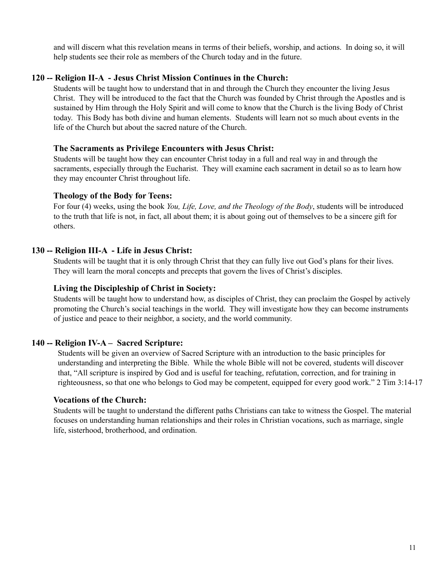and will discern what this revelation means in terms of their beliefs, worship, and actions. In doing so, it will help students see their role as members of the Church today and in the future.

### **120 -- Religion II-A - Jesus Christ Mission Continues in the Church:**

Students will be taught how to understand that in and through the Church they encounter the living Jesus Christ. They will be introduced to the fact that the Church was founded by Christ through the Apostles and is sustained by Him through the Holy Spirit and will come to know that the Church is the living Body of Christ today. This Body has both divine and human elements. Students will learn not so much about events in the life of the Church but about the sacred nature of the Church.

### **The Sacraments as Privilege Encounters with Jesus Christ:**

Students will be taught how they can encounter Christ today in a full and real way in and through the sacraments, especially through the Eucharist. They will examine each sacrament in detail so as to learn how they may encounter Christ throughout life.

### **Theology of the Body for Teens:**

For four (4) weeks, using the book *You, Life, Love, and the Theology of the Body*, students will be introduced to the truth that life is not, in fact, all about them; it is about going out of themselves to be a sincere gift for others.

# **130 -- Religion III-A - Life in Jesus Christ:**

Students will be taught that it is only through Christ that they can fully live out God's plans for their lives. They will learn the moral concepts and precepts that govern the lives of Christ's disciples.

### **Living the Discipleship of Christ in Society:**

Students will be taught how to understand how, as disciples of Christ, they can proclaim the Gospel by actively promoting the Church's social teachings in the world. They will investigate how they can become instruments of justice and peace to their neighbor, a society, and the world community.

# **140 -- Religion IV-A – Sacred Scripture:**

Students will be given an overview of Sacred Scripture with an introduction to the basic principles for understanding and interpreting the Bible. While the whole Bible will not be covered, students will discover that, "All scripture is inspired by God and is useful for teaching, refutation, correction, and for training in righteousness, so that one who belongs to God may be competent, equipped for every good work." 2 Tim 3:14-17

### **Vocations of the Church:**

Students will be taught to understand the different paths Christians can take to witness the Gospel. The material focuses on understanding human relationships and their roles in Christian vocations, such as marriage, single life, sisterhood, brotherhood, and ordination.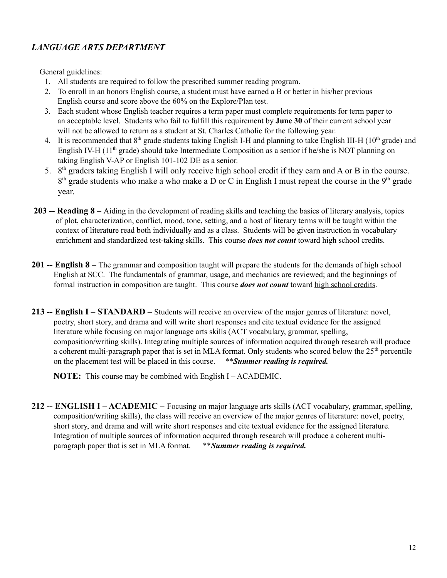# *LANGUAGE ARTS DEPARTMENT*

General guidelines:

- 1. All students are required to follow the prescribed summer reading program.
- 2. To enroll in an honors English course, a student must have earned a B or better in his/her previous English course and score above the 60% on the Explore/Plan test.
- 3. Each student whose English teacher requires a term paper must complete requirements for term paper to an acceptable level. Students who fail to fulfill this requirement by **June 30** of their current school year will not be allowed to return as a student at St. Charles Catholic for the following year.
- 4. It is recommended that  $8<sup>th</sup>$  grade students taking English I-H and planning to take English III-H ( $10<sup>th</sup>$  grade) and English IV-H (11<sup>th</sup> grade) should take Intermediate Composition as a senior if he/she is NOT planning on taking English V-AP or English 101-102 DE as a senior.
- 5. 8th graders taking English I will only receive high school credit if they earn and A or B in the course.  $8<sup>th</sup>$  grade students who make a who make a D or C in English I must repeat the course in the  $9<sup>th</sup>$  grade year.
- **203 -- Reading 8 –** Aiding in the development of reading skills and teaching the basics of literary analysis, topics of plot, characterization, conflict, mood, tone, setting, and a host of literary terms will be taught within the context of literature read both individually and as a class. Students will be given instruction in vocabulary enrichment and standardized test-taking skills. This course *does not count* toward high school credits.
- **201 -- English 8 –** The grammar and composition taught will prepare the students for the demands of high school English at SCC. The fundamentals of grammar, usage, and mechanics are reviewed; and the beginnings of formal instruction in composition are taught. This course *does not count* toward high school credits.
- **213 -- English I STANDARD –** Students will receive an overview of the major genres of literature: novel, poetry, short story, and drama and will write short responses and cite textual evidence for the assigned literature while focusing on major language arts skills (ACT vocabulary, grammar, spelling, composition/writing skills). Integrating multiple sources of information acquired through research will produce a coherent multi-paragraph paper that is set in MLA format. Only students who scored below the 25<sup>th</sup> percentile on the placement test will be placed in this course. \*\**Summer reading is required.*

**NOTE:** This course may be combined with English I – ACADEMIC.

**212 -- ENGLISH I – ACADEMIC –** Focusing on major language arts skills (ACT vocabulary, grammar, spelling, composition/writing skills), the class will receive an overview of the major genres of literature: novel, poetry, short story, and drama and will write short responses and cite textual evidence for the assigned literature. Integration of multiple sources of information acquired through research will produce a coherent multiparagraph paper that is set in MLA format. \*\**Summer reading is required.*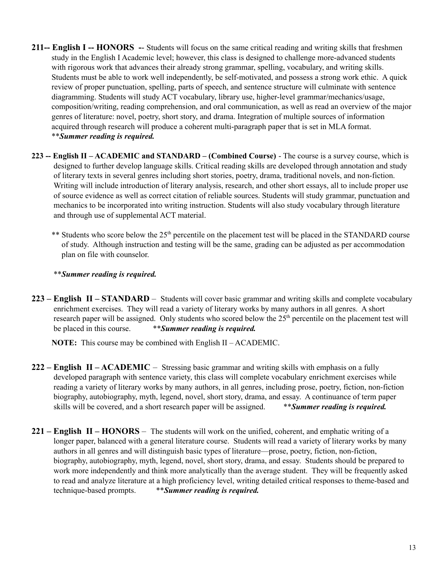- **211-- English I -- HONORS** -- Students will focus on the same critical reading and writing skills that freshmen study in the English I Academic level; however, this class is designed to challenge more-advanced students with rigorous work that advances their already strong grammar, spelling, vocabulary, and writing skills. Students must be able to work well independently, be self-motivated, and possess a strong work ethic. A quick review of proper punctuation, spelling, parts of speech, and sentence structure will culminate with sentence diagramming. Students will study ACT vocabulary, library use, higher-level grammar/mechanics/usage, composition/writing, reading comprehension, and oral communication, as well as read an overview of the major genres of literature: novel, poetry, short story, and drama. Integration of multiple sources of information acquired through research will produce a coherent multi-paragraph paper that is set in MLA format. \*\**Summer reading is required.*
- **223 -- English II – ACADEMIC and STANDARD – (Combined Course)** The course is a survey course, which is designed to further develop language skills. Critical reading skills are developed through annotation and study of literary texts in several genres including short stories, poetry, drama, traditional novels, and non-fiction. Writing will include introduction of literary analysis, research, and other short essays, all to include proper use of source evidence as well as correct citation of reliable sources. Students will study grammar, punctuation and mechanics to be incorporated into writing instruction. Students will also study vocabulary through literature and through use of supplemental ACT material.
	- \*\* Students who score below the 25<sup>th</sup> percentile on the placement test will be placed in the STANDARD course of study. Although instruction and testing will be the same, grading can be adjusted as per accommodation plan on file with counselor.

\*\**Summer reading is required.*

**223 – English II – STANDARD** – Students will cover basic grammar and writing skills and complete vocabulary enrichment exercises. They will read a variety of literary works by many authors in all genres. A short research paper will be assigned. Only students who scored below the 25<sup>th</sup> percentile on the placement test will be placed in this course. \*\**Summer reading is required.*

**NOTE:** This course may be combined with English II – ACADEMIC.

- **222 English II ACADEMIC** Stressing basic grammar and writing skills with emphasis on a fully developed paragraph with sentence variety, this class will complete vocabulary enrichment exercises while reading a variety of literary works by many authors, in all genres, including prose, poetry, fiction, non-fiction biography, autobiography, myth, legend, novel, short story, drama, and essay. A continuance of term paper skills will be covered, and a short research paper will be assigned. \*\**Summer reading is required.*
- **221 English II HONORS** The students will work on the unified, coherent, and emphatic writing of a longer paper, balanced with a general literature course. Students will read a variety of literary works by many authors in all genres and will distinguish basic types of literature—prose, poetry, fiction, non-fiction, biography, autobiography, myth, legend, novel, short story, drama, and essay. Students should be prepared to work more independently and think more analytically than the average student. They will be frequently asked to read and analyze literature at a high proficiency level, writing detailed critical responses to theme-based and technique-based prompts. \*\**Summer reading is required.*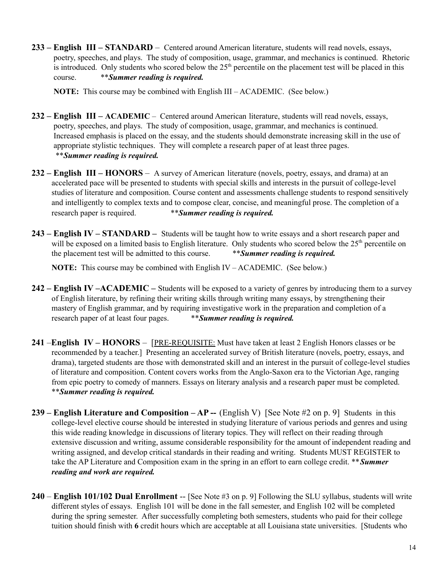**233 – English III – STANDARD** – Centered around American literature, students will read novels, essays, poetry, speeches, and plays. The study of composition, usage, grammar, and mechanics is continued. Rhetoric is introduced. Only students who scored below the  $25<sup>th</sup>$  percentile on the placement test will be placed in this course. \*\**Summer reading is required.*

**NOTE:** This course may be combined with English III – ACADEMIC. (See below.)

- **232 English III – ACADEMIC** Centered around American literature, students will read novels, essays, poetry, speeches, and plays. The study of composition, usage, grammar, and mechanics is continued. Increased emphasis is placed on the essay, and the students should demonstrate increasing skill in the use of appropriate stylistic techniques. They will complete a research paper of at least three pages. \*\**Summer reading is required.*
- **232 English III HONORS** A survey of American literature (novels, poetry, essays, and drama) at an accelerated pace will be presented to students with special skills and interests in the pursuit of college-level studies of literature and composition. Course content and assessments challenge students to respond sensitively and intelligently to complex texts and to compose clear, concise, and meaningful prose. The completion of a research paper is required. \*\**Summer reading is required.*
- **243 English IV STANDARD –** Students will be taught how to write essays and a short research paper and will be exposed on a limited basis to English literature. Only students who scored below the 25<sup>th</sup> percentile on the placement test will be admitted to this course. \*\**Summer reading is required.*

**NOTE:** This course may be combined with English IV – ACADEMIC. (See below.)

- **242 English IV –ACADEMIC –** Students will be exposed to a variety of genres by introducing them to a survey of English literature, by refining their writing skills through writing many essays, by strengthening their mastery of English grammar, and by requiring investigative work in the preparation and completion of a research paper of at least four pages. \*\**Summer reading is required.*
- **241** –**English IV HONORS** [PRE-REQUISITE: Must have taken at least 2 English Honors classes or be recommended by a teacher.] Presenting an accelerated survey of British literature (novels, poetry, essays, and drama), targeted students are those with demonstrated skill and an interest in the pursuit of college-level studies of literature and composition. Content covers works from the Anglo-Saxon era to the Victorian Age, ranging from epic poetry to comedy of manners. Essays on literary analysis and a research paper must be completed. \*\**Summer reading is required.*
- **239 English Literature and Composition AP --** (English V) [See Note #2 on p. 9] Students in this college-level elective course should be interested in studying literature of various periods and genres and using this wide reading knowledge in discussions of literary topics. They will reflect on their reading through extensive discussion and writing, assume considerable responsibility for the amount of independent reading and writing assigned, and develop critical standards in their reading and writing. Students MUST REGISTER to take the AP Literature and Composition exam in the spring in an effort to earn college credit. \*\**Summer reading and work are required.*
- **240 English 101/102 Dual Enrollment** -- [See Note #3 on p. 9] Following the SLU syllabus, students will write different styles of essays. English 101 will be done in the fall semester, and English 102 will be completed during the spring semester. After successfully completing both semesters, students who paid for their college tuition should finish with **6** credit hours which are acceptable at all Louisiana state universities. [Students who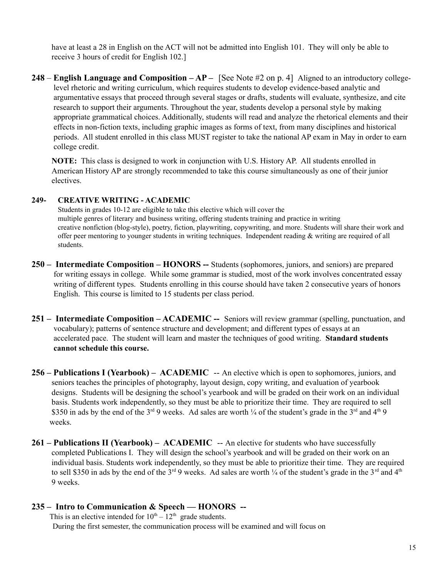have at least a 28 in English on the ACT will not be admitted into English 101. They will only be able to receive 3 hours of credit for English 102.]

**248** – **English Language and Composition – AP –** [See Note #2 on p. 4] Aligned to an introductory collegelevel rhetoric and writing curriculum, which requires students to develop evidence-based analytic and argumentative essays that proceed through several stages or drafts, students will evaluate, synthesize, and cite research to support their arguments. Throughout the year, students develop a personal style by making appropriate grammatical choices. Additionally, students will read and analyze the rhetorical elements and their effects in non-fiction texts, including graphic images as forms of text, from many disciplines and historical periods. All student enrolled in this class MUST register to take the national AP exam in May in order to earn college credit.

**NOTE:** This class is designed to work in conjunction with U.S. History AP. All students enrolled in American History AP are strongly recommended to take this course simultaneously as one of their junior electives.

### **249- CREATIVE WRITING - ACADEMIC**

Students in grades 10-12 are eligible to take this elective which will cover the multiple genres of literary and business writing, offering students training and practice in writing creative nonfiction (blog-style), poetry, fiction, playwriting, copywriting, and more. Students will share their work and offer peer mentoring to younger students in writing techniques. Independent reading & writing are required of all students.

- **250 Intermediate Composition HONORS --** Students (sophomores, juniors, and seniors) are prepared for writing essays in college. While some grammar is studied, most of the work involves concentrated essay writing of different types. Students enrolling in this course should have taken 2 consecutive years of honors English. This course is limited to 15 students per class period.
- **251 Intermediate Composition ACADEMIC --** Seniors will review grammar (spelling, punctuation, and vocabulary); patterns of sentence structure and development; and different types of essays at an accelerated pace. The student will learn and master the techniques of good writing. **Standard students cannot schedule this course.**
- **256 Publications I (Yearbook) ACADEMIC** -- An elective which is open to sophomores, juniors, and seniors teaches the principles of photography, layout design, copy writing, and evaluation of yearbook designs. Students will be designing the school's yearbook and will be graded on their work on an individual basis. Students work independently, so they must be able to prioritize their time. They are required to sell \$350 in ads by the end of the  $3^{rd}$  9 weeks. Ad sales are worth  $\frac{1}{4}$  of the student's grade in the  $3^{rd}$  and  $4^{th}$  9 weeks.
- 261 Publications II (Yearbook) ACADEMIC -- An elective for students who have successfully completed Publications I. They will design the school's yearbook and will be graded on their work on an individual basis. Students work independently, so they must be able to prioritize their time. They are required to sell \$350 in ads by the end of the  $3<sup>rd</sup>$  9 weeks. Ad sales are worth  $\frac{1}{4}$  of the student's grade in the  $3<sup>rd</sup>$  and  $4<sup>th</sup>$ 9 weeks.

# **235 – Intro to Communication & Speech — HONORS --**

This is an elective intended for  $10^{th} - 12^{th}$  grade students. During the first semester, the communication process will be examined and will focus on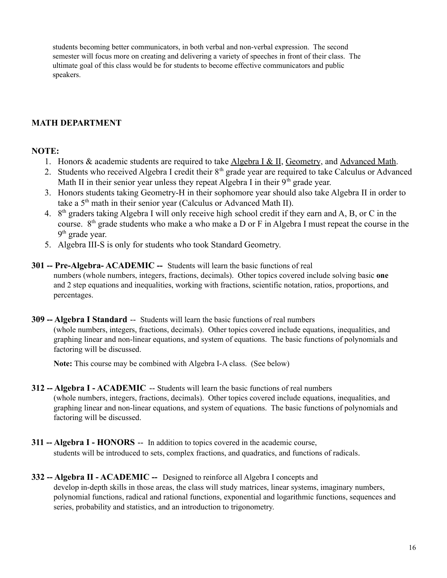students becoming better communicators, in both verbal and non-verbal expression. The second semester will focus more on creating and delivering a variety of speeches in front of their class. The ultimate goal of this class would be for students to become effective communicators and public speakers.

# **MATH DEPARTMENT**

# **NOTE:**

- 1. Honors & academic students are required to take Algebra I & II, Geometry, and Advanced Math.
- 2. Students who received Algebra I credit their 8<sup>th</sup> grade year are required to take Calculus or Advanced Math II in their senior year unless they repeat Algebra I in their  $9<sup>th</sup>$  grade year.
- 3. Honors students taking Geometry-H in their sophomore year should also take Algebra II in order to take a  $5<sup>th</sup>$  math in their senior year (Calculus or Advanced Math II).
- 4. 8th graders taking Algebra I will only receive high school credit if they earn and A, B, or C in the course. 8<sup>th</sup> grade students who make a who make a D or F in Algebra I must repeat the course in the  $9<sup>th</sup>$  grade year.
- 5. Algebra III-S is only for students who took Standard Geometry.
- **301 -- Pre-Algebra- ACADEMIC --** Students will learn the basic functions of real numbers (whole numbers, integers, fractions, decimals). Other topics covered include solving basic **one** and 2 step equations and inequalities, working with fractions, scientific notation, ratios, proportions, and percentages.
- **309 -- Algebra I Standard** -- Students will learn the basic functions of real numbers (whole numbers, integers, fractions, decimals). Other topics covered include equations, inequalities, and graphing linear and non-linear equations, and system of equations. The basic functions of polynomials and factoring will be discussed.

**Note:** This course may be combined with Algebra I-A class. (See below)

- **312 -- Algebra I ACADEMIC** -- Students will learn the basic functions of real numbers (whole numbers, integers, fractions, decimals). Other topics covered include equations, inequalities, and graphing linear and non-linear equations, and system of equations. The basic functions of polynomials and factoring will be discussed.
- **311 -- Algebra I HONORS** -- In addition to topics covered in the academic course, students will be introduced to sets, complex fractions, and quadratics, and functions of radicals.
- **332 -- Algebra II ACADEMIC --** Designed to reinforce all Algebra I concepts and develop in-depth skills in those areas, the class will study matrices, linear systems, imaginary numbers, polynomial functions, radical and rational functions, exponential and logarithmic functions, sequences and series, probability and statistics, and an introduction to trigonometry.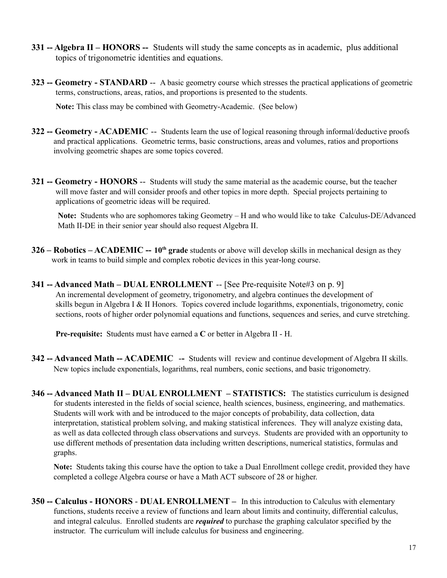- **331 -- Algebra II HONORS --** Students will study the same concepts as in academic, plus additional topics of trigonometric identities and equations.
- **323 -- Geometry STANDARD** -- A basic geometry course which stresses the practical applications of geometric terms, constructions, areas, ratios, and proportions is presented to the students.

**Note:** This class may be combined with Geometry-Academic. (See below)

- **322 -- Geometry ACADEMIC** -- Students learn the use of logical reasoning through informal/deductive proofs and practical applications. Geometric terms, basic constructions, areas and volumes, ratios and proportions involving geometric shapes are some topics covered.
- **321 -- Geometry HONORS** -- Students will study the same material as the academic course, but the teacher will move faster and will consider proofs and other topics in more depth. Special projects pertaining to applications of geometric ideas will be required.

**Note:** Students who are sophomores taking Geometry – H and who would like to take Calculus-DE/Advanced Math II-DE in their senior year should also request Algebra II.

- **326 Robotics ACADEMIC -- 10th grade** students or above will develop skills in mechanical design as they work in teams to build simple and complex robotic devices in this year-long course.
- **341 -- Advanced Math DUAL ENROLLMENT** -- [See Pre-requisite Note#3 on p. 9] An incremental development of geometry, trigonometry, and algebra continues the development of skills begun in Algebra I & II Honors. Topics covered include logarithms, exponentials, trigonometry, conic sections, roots of higher order polynomial equations and functions, sequences and series, and curve stretching.

**Pre-requisite:** Students must have earned a **C** or better in Algebra II - H.

- **342 -- Advanced Math -- ACADEMIC --** Students will review and continue development of Algebra II skills. New topics include exponentials, logarithms, real numbers, conic sections, and basic trigonometry.
- **346 -- Advanced Math II DUAL ENROLLMENT STATISTICS:** The statistics curriculum is designed for students interested in the fields of social science, health sciences, business, engineering, and mathematics. Students will work with and be introduced to the major concepts of probability, data collection, data interpretation, statistical problem solving, and making statistical inferences. They will analyze existing data, as well as data collected through class observations and surveys. Students are provided with an opportunity to use different methods of presentation data including written descriptions, numerical statistics, formulas and graphs.

**Note:** Students taking this course have the option to take a Dual Enrollment college credit, provided they have completed a college Algebra course or have a Math ACT subscore of 28 or higher.

**350 -- Calculus - HONORS** - **DUAL ENROLLMENT –** In this introduction to Calculus with elementary functions, students receive a review of functions and learn about limits and continuity, differential calculus, and integral calculus. Enrolled students are *required* to purchase the graphing calculator specified by the instructor. The curriculum will include calculus for business and engineering.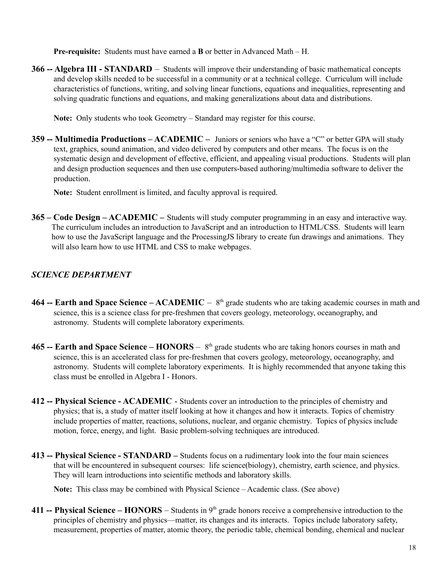**Pre-requisite:** Students must have earned a **B** or better in Advanced Math – H.

**366 -- Algebra III - STANDARD** – Students will improve their understanding of basic mathematical concepts and develop skills needed to be successful in a community or at a technical college. Curriculum will include characteristics of functions, writing, and solving linear functions, equations and inequalities, representing and solving quadratic functions and equations, and making generalizations about data and distributions.

**Note:** Only students who took Geometry – Standard may register for this course.

**359 -- Multimedia Productions – ACADEMIC –** Juniors or seniors who have a "C" or better GPA will study text, graphics, sound animation, and video delivered by computers and other means. The focus is on the systematic design and development of effective, efficient, and appealing visual productions. Students will plan and design production sequences and then use computers-based authoring/multimedia software to deliver the production.

**Note:** Student enrollment is limited, and faculty approval is required.

**365 – Code Design – ACADEMIC –** Students will study computer programming in an easy and interactive way. The curriculum includes an introduction to JavaScript and an introduction to HTML/CSS. Students will learn how to use the JavaScript language and the ProcessingJS library to create fun drawings and animations. They will also learn how to use HTML and CSS to make webpages.

# *SCIENCE DEPARTMENT*

- **464 -- Earth and Space Science ACADEMIC**  $8<sup>th</sup>$  grade students who are taking academic courses in math and science, this is a science class for pre-freshmen that covers geology, meteorology, oceanography, and astronomy. Students will complete laboratory experiments.
- **465 -- Earth and Space Science HONORS** 8<sup>th</sup> grade students who are taking honors courses in math and science, this is an accelerated class for pre-freshmen that covers geology, meteorology, oceanography, and astronomy. Students will complete laboratory experiments. It is highly recommended that anyone taking this class must be enrolled in Algebra I - Honors.
- **412 -- Physical Science ACADEMIC** Students cover an introduction to the principles of chemistry and physics; that is, a study of matter itself looking at how it changes and how it interacts. Topics of chemistry include properties of matter, reactions, solutions, nuclear, and organic chemistry. Topics of physics include motion, force, energy, and light. Basic problem-solving techniques are introduced.
- **413 -- Physical Science STANDARD –** Students focus on a rudimentary look into the four main sciences that will be encountered in subsequent courses: life science(biology), chemistry, earth science, and physics. They will learn introductions into scientific methods and laboratory skills.

**Note:** This class may be combined with Physical Science – Academic class. (See above)

**411 -- Physical Science – HONORS** – Students in 9<sup>th</sup> grade honors receive a comprehensive introduction to the principles of chemistry and physics—matter, its changes and its interacts. Topics include laboratory safety, measurement, properties of matter, atomic theory, the periodic table, chemical bonding, chemical and nuclear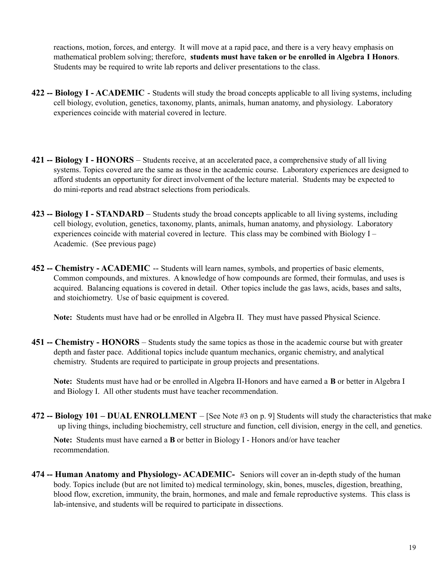reactions, motion, forces, and entergy. It will move at a rapid pace, and there is a very heavy emphasis on mathematical problem solving; therefore, **students must have taken or be enrolled in Algebra I Honors**. Students may be required to write lab reports and deliver presentations to the class.

- **422 -- Biology I ACADEMIC** Students will study the broad concepts applicable to all living systems, including cell biology, evolution, genetics, taxonomy, plants, animals, human anatomy, and physiology. Laboratory experiences coincide with material covered in lecture.
- **421 -- Biology I HONORS** Students receive, at an accelerated pace, a comprehensive study of all living systems. Topics covered are the same as those in the academic course. Laboratory experiences are designed to afford students an opportunity for direct involvement of the lecture material. Students may be expected to do mini-reports and read abstract selections from periodicals.
- **423 -- Biology I STANDARD** Students study the broad concepts applicable to all living systems, including cell biology, evolution, genetics, taxonomy, plants, animals, human anatomy, and physiology. Laboratory experiences coincide with material covered in lecture. This class may be combined with Biology I – Academic. (See previous page)
- **452 -- Chemistry ACADEMIC** -- Students will learn names, symbols, and properties of basic elements, Common compounds, and mixtures. A knowledge of how compounds are formed, their formulas, and uses is acquired. Balancing equations is covered in detail. Other topics include the gas laws, acids, bases and salts, and stoichiometry. Use of basic equipment is covered.

**Note:** Students must have had or be enrolled in Algebra II. They must have passed Physical Science.

**451 -- Chemistry - HONORS** – Students study the same topics as those in the academic course but with greater depth and faster pace. Additional topics include quantum mechanics, organic chemistry, and analytical chemistry. Students are required to participate in group projects and presentations.

**Note:** Students must have had or be enrolled in Algebra II-Honors and have earned a **B** or better in Algebra I and Biology I. All other students must have teacher recommendation.

**472 -- Biology 101 – DUAL ENROLLMENT** – [See Note #3 on p. 9] Students will study the characteristics that make up living things, including biochemistry, cell structure and function, cell division, energy in the cell, and genetics.

**Note:** Students must have earned a **B** or better in Biology I - Honors and/or have teacher recommendation.

**474 -- Human Anatomy and Physiology- ACADEMIC-** Seniors will cover an in-depth study of the human body. Topics include (but are not limited to) medical terminology, skin, bones, muscles, digestion, breathing, blood flow, excretion, immunity, the brain, hormones, and male and female reproductive systems. This class is lab-intensive, and students will be required to participate in dissections.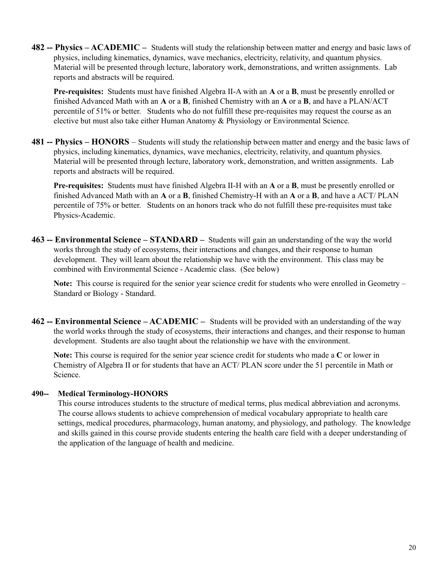**482 -- Physics – ACADEMIC –** Students will study the relationship between matter and energy and basic laws of physics, including kinematics, dynamics, wave mechanics, electricity, relativity, and quantum physics. Material will be presented through lecture, laboratory work, demonstrations, and written assignments. Lab reports and abstracts will be required.

**Pre-requisites:** Students must have finished Algebra II-A with an **A** or a **B**, must be presently enrolled or finished Advanced Math with an **A** or a **B**, finished Chemistry with an **A** or a **B**, and have a PLAN/ACT percentile of 51% or better. Students who do not fulfill these pre-requisites may request the course as an elective but must also take either Human Anatomy & Physiology or Environmental Science.

**481 -- Physics – HONORS** – Students will study the relationship between matter and energy and the basic laws of physics, including kinematics, dynamics, wave mechanics, electricity, relativity, and quantum physics. Material will be presented through lecture, laboratory work, demonstration, and written assignments. Lab reports and abstracts will be required.

**Pre-requisites:** Students must have finished Algebra II-H with an **A** or a **B**, must be presently enrolled or finished Advanced Math with an **A** or a **B**, finished Chemistry-H with an **A** or a **B**, and have a ACT/ PLAN percentile of 75% or better. Students on an honors track who do not fulfill these pre-requisites must take Physics-Academic.

**463 -- Environmental Science – STANDARD –** Students will gain an understanding of the way the world works through the study of ecosystems, their interactions and changes, and their response to human development. They will learn about the relationship we have with the environment. This class may be combined with Environmental Science - Academic class. (See below)

**Note:** This course is required for the senior year science credit for students who were enrolled in Geometry – Standard or Biology - Standard.

**462 -- Environmental Science – ACADEMIC –** Students will be provided with an understanding of the way the world works through the study of ecosystems, their interactions and changes, and their response to human development. Students are also taught about the relationship we have with the environment.

**Note:** This course is required for the senior year science credit for students who made a **C** or lower in Chemistry of Algebra II or for students that have an ACT/ PLAN score under the 51 percentile in Math or Science.

### **490-- Medical Terminology-HONORS**

This course introduces students to the structure of medical terms, plus medical abbreviation and acronyms. The course allows students to achieve comprehension of medical vocabulary appropriate to health care settings, medical procedures, pharmacology, human anatomy, and physiology, and pathology. The knowledge and skills gained in this course provide students entering the health care field with a deeper understanding of the application of the language of health and medicine.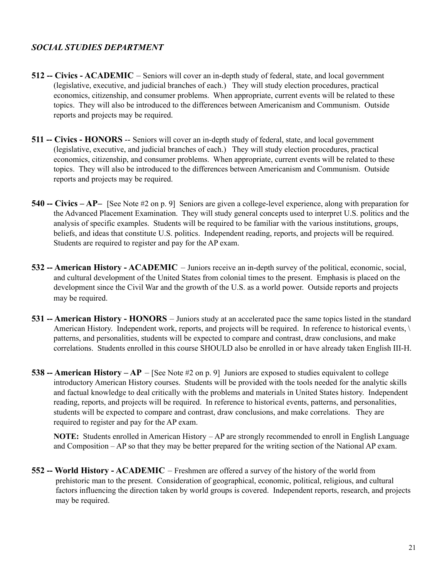# *SOCIAL STUDIES DEPARTMENT*

- **512 -- Civics ACADEMIC** Seniors will cover an in-depth study of federal, state, and local government (legislative, executive, and judicial branches of each.) They will study election procedures, practical economics, citizenship, and consumer problems. When appropriate, current events will be related to these topics. They will also be introduced to the differences between Americanism and Communism. Outside reports and projects may be required.
- **511 -- Civics HONORS** -- Seniors will cover an in-depth study of federal, state, and local government (legislative, executive, and judicial branches of each.) They will study election procedures, practical economics, citizenship, and consumer problems. When appropriate, current events will be related to these topics. They will also be introduced to the differences between Americanism and Communism. Outside reports and projects may be required.
- **540 -- Civics AP–** [See Note #2 on p. 9] Seniors are given a college-level experience, along with preparation for the Advanced Placement Examination. They will study general concepts used to interpret U.S. politics and the analysis of specific examples. Students will be required to be familiar with the various institutions, groups, beliefs, and ideas that constitute U.S. politics. Independent reading, reports, and projects will be required. Students are required to register and pay for the AP exam.
- **532 -- American History ACADEMIC** Juniors receive an in-depth survey of the political, economic, social, and cultural development of the United States from colonial times to the present. Emphasis is placed on the development since the Civil War and the growth of the U.S. as a world power. Outside reports and projects may be required.
- **531 -- American History HONORS** Juniors study at an accelerated pace the same topics listed in the standard American History. Independent work, reports, and projects will be required. In reference to historical events,  $\langle \cdot \rangle$ patterns, and personalities, students will be expected to compare and contrast, draw conclusions, and make correlations. Students enrolled in this course SHOULD also be enrolled in or have already taken English III-H.
- **538 -- American History AP** [See Note #2 on p. 9] Juniors are exposed to studies equivalent to college introductory American History courses. Students will be provided with the tools needed for the analytic skills and factual knowledge to deal critically with the problems and materials in United States history. Independent reading, reports, and projects will be required. In reference to historical events, patterns, and personalities, students will be expected to compare and contrast, draw conclusions, and make correlations. They are required to register and pay for the AP exam.

**NOTE:** Students enrolled in American History – AP are strongly recommended to enroll in English Language and Composition – AP so that they may be better prepared for the writing section of the National AP exam.

**552 -- World History - ACADEMIC** – Freshmen are offered a survey of the history of the world from prehistoric man to the present. Consideration of geographical, economic, political, religious, and cultural factors influencing the direction taken by world groups is covered. Independent reports, research, and projects may be required.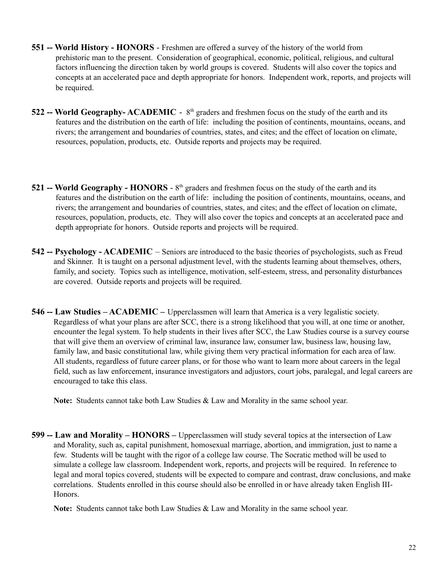- **551 -- World History HONORS** Freshmen are offered a survey of the history of the world from prehistoric man to the present. Consideration of geographical, economic, political, religious, and cultural factors influencing the direction taken by world groups is covered. Students will also cover the topics and concepts at an accelerated pace and depth appropriate for honors. Independent work, reports, and projects will be required.
- **522 -- World Geography- ACADEMIC** 8<sup>th</sup> graders and freshmen focus on the study of the earth and its features and the distribution on the earth of life: including the position of continents, mountains, oceans, and rivers; the arrangement and boundaries of countries, states, and cites; and the effect of location on climate, resources, population, products, etc. Outside reports and projects may be required.
- **521 -- World Geography HONORS** 8<sup>th</sup> graders and freshmen focus on the study of the earth and its features and the distribution on the earth of life: including the position of continents, mountains, oceans, and rivers; the arrangement and boundaries of countries, states, and cites; and the effect of location on climate, resources, population, products, etc. They will also cover the topics and concepts at an accelerated pace and depth appropriate for honors. Outside reports and projects will be required.
- **542 -- Psychology ACADEMIC** Seniors are introduced to the basic theories of psychologists, such as Freud and Skinner. It is taught on a personal adjustment level, with the students learning about themselves, others, family, and society. Topics such as intelligence, motivation, self-esteem, stress, and personality disturbances are covered. Outside reports and projects will be required.
- **546 -- Law Studies ACADEMIC –** Upperclassmen will learn that America is a very legalistic society. Regardless of what your plans are after SCC, there is a strong likelihood that you will, at one time or another, encounter the legal system. To help students in their lives after SCC, the Law Studies course is a survey course that will give them an overview of criminal law, insurance law, consumer law, business law, housing law, family law, and basic constitutional law, while giving them very practical information for each area of law. All students, regardless of future career plans, or for those who want to learn more about careers in the legal field, such as law enforcement, insurance investigators and adjustors, court jobs, paralegal, and legal careers are encouraged to take this class.

**Note:** Students cannot take both Law Studies & Law and Morality in the same school year.

**599 -- Law and Morality – HONORS –** Upperclassmen will study several topics at the intersection of Law and Morality, such as, capital punishment, homosexual marriage, abortion, and immigration, just to name a few. Students will be taught with the rigor of a college law course. The Socratic method will be used to simulate a college law classroom. Independent work, reports, and projects will be required. In reference to legal and moral topics covered, students will be expected to compare and contrast, draw conclusions, and make correlations. Students enrolled in this course should also be enrolled in or have already taken English III-Honors.

**Note:** Students cannot take both Law Studies & Law and Morality in the same school year.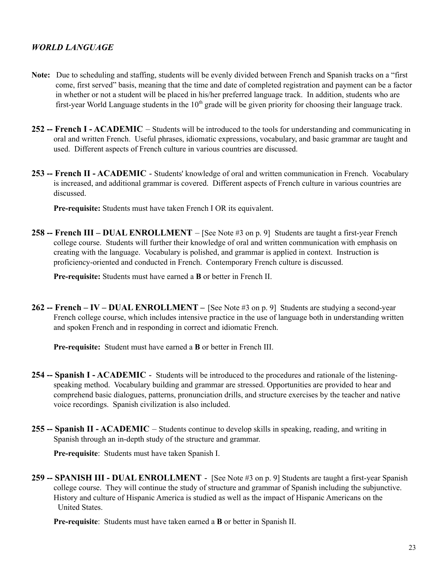# *WORLD LANGUAGE*

- **Note:** Due to scheduling and staffing, students will be evenly divided between French and Spanish tracks on a "first come, first served" basis, meaning that the time and date of completed registration and payment can be a factor in whether or not a student will be placed in his/her preferred language track. In addition, students who are first-year World Language students in the  $10<sup>th</sup>$  grade will be given priority for choosing their language track.
- **252 -- French I ACADEMIC** Students will be introduced to the tools for understanding and communicating in oral and written French. Useful phrases, idiomatic expressions, vocabulary, and basic grammar are taught and used. Different aspects of French culture in various countries are discussed.
- **253 -- French II ACADEMIC** Students' knowledge of oral and written communication in French. Vocabulary is increased, and additional grammar is covered. Different aspects of French culture in various countries are discussed.

**Pre-requisite:** Students must have taken French I OR its equivalent.

**258 -- French III – DUAL ENROLLMENT** – [See Note #3 on p. 9] Students are taught a first-year French college course. Students will further their knowledge of oral and written communication with emphasis on creating with the language. Vocabulary is polished, and grammar is applied in context. Instruction is proficiency-oriented and conducted in French. Contemporary French culture is discussed.

**Pre-requisite:** Students must have earned a **B** or better in French II.

**262 -- French – IV – DUAL ENROLLMENT –** [See Note #3 on p. 9] Students are studying a second-year French college course, which includes intensive practice in the use of language both in understanding written and spoken French and in responding in correct and idiomatic French.

**Pre-requisite:** Student must have earned a **B** or better in French III.

- **254 -- Spanish I ACADEMIC** Students will be introduced to the procedures and rationale of the listeningspeaking method. Vocabulary building and grammar are stressed. Opportunities are provided to hear and comprehend basic dialogues, patterns, pronunciation drills, and structure exercises by the teacher and native voice recordings. Spanish civilization is also included.
- **255 -- Spanish II ACADEMIC** Students continue to develop skills in speaking, reading, and writing in Spanish through an in-depth study of the structure and grammar.

**Pre-requisite**: Students must have taken Spanish I.

**259 -- SPANISH III - DUAL ENROLLMENT** - [See Note #3 on p. 9] Students are taught a first-year Spanish college course. They will continue the study of structure and grammar of Spanish including the subjunctive. History and culture of Hispanic America is studied as well as the impact of Hispanic Americans on the United States.

**Pre-requisite**: Students must have taken earned a **B** or better in Spanish II.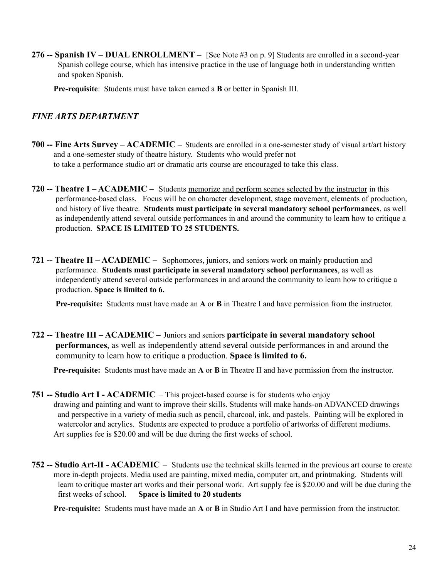**276 -- Spanish IV – DUAL ENROLLMENT –** [See Note #3 on p. 9] Students are enrolled in a second-year Spanish college course, which has intensive practice in the use of language both in understanding written and spoken Spanish.

**Pre-requisite**: Students must have taken earned a **B** or better in Spanish III.

# *FINE ARTS DEPARTMENT*

- **700 -- Fine Arts Survey ACADEMIC –** Students are enrolled in a one-semester study of visual art/art history and a one-semester study of theatre history. Students who would prefer not to take a performance studio art or dramatic arts course are encouraged to take this class.
- **720 -- Theatre I ACADEMIC –** Students memorize and perform scenes selected by the instructor in this performance-based class. Focus will be on character development, stage movement, elements of production, and history of live theatre. **Students must participate in several mandatory school performances**, as well as independently attend several outside performances in and around the community to learn how to critique a production. **SPACE IS LIMITED TO 25 STUDENTS.**
- **721 -- Theatre II ACADEMIC –** Sophomores, juniors, and seniors work on mainly production and performance. **Students must participate in several mandatory school performances**, as well as independently attend several outside performances in and around the community to learn how to critique a production. **Space is limited to 6.**

**Pre-requisite:** Students must have made an **A** or **B** in Theatre I and have permission from the instructor.

**722 -- Theatre III – ACADEMIC –** Juniors and seniors **participate in several mandatory school performances**, as well as independently attend several outside performances in and around the community to learn how to critique a production. **Space is limited to 6.**

**Pre-requisite:** Students must have made an **A** or **B** in Theatre II and have permission from the instructor.

- **751 -- Studio Art I ACADEMIC** This project-based course is for students who enjoy drawing and painting and want to improve their skills. Students will make hands-on ADVANCED drawings and perspective in a variety of media such as pencil, charcoal, ink, and pastels. Painting will be explored in watercolor and acrylics. Students are expected to produce a portfolio of artworks of different mediums. Art supplies fee is \$20.00 and will be due during the first weeks of school.
- **752 -- Studio Art-II ACADEMIC** Students use the technical skills learned in the previous art course to create more in-depth projects. Media used are painting, mixed media, computer art, and printmaking. Students will learn to critique master art works and their personal work. Art supply fee is \$20.00 and will be due during the first weeks of school. **Space is limited to 20 students**

**Pre-requisite:** Students must have made an **A** or **B** in Studio Art I and have permission from the instructor.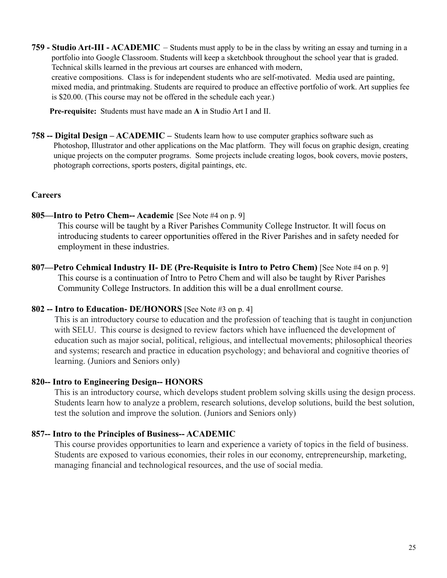**759 - Studio Art-III - ACADEMIC** – Students must apply to be in the class by writing an essay and turning in a portfolio into Google Classroom. Students will keep a sketchbook throughout the school year that is graded. Technical skills learned in the previous art courses are enhanced with modern, creative compositions. Class is for independent students who are self-motivated. Media used are painting, mixed media, and printmaking. Students are required to produce an effective portfolio of work. Art supplies fee is \$20.00. (This course may not be offered in the schedule each year.)

**Pre-requisite:** Students must have made an **A** in Studio Art I and II.

**758 -- Digital Design – ACADEMIC –** Students learn how to use computer graphics software such as Photoshop, Illustrator and other applications on the Mac platform. They will focus on graphic design, creating unique projects on the computer programs. Some projects include creating logos, book covers, movie posters, photograph corrections, sports posters, digital paintings, etc.

### **Careers**

**805—Intro to Petro Chem-- Academic** [See Note #4 on p. 9]

This course will be taught by a River Parishes Community College Instructor. It will focus on introducing students to career opportunities offered in the River Parishes and in safety needed for employment in these industries.

**807—Petro Cehmical Industry II- DE (Pre-Requisite is Intro to Petro Chem)** [See Note #4 on p. 9] This course is a continuation of Intro to Petro Chem and will also be taught by River Parishes Community College Instructors. In addition this will be a dual enrollment course.

# **802 -- Intro to Education- DE/HONORS** [See Note #3 on p. 4]

This is an introductory course to education and the profession of teaching that is taught in conjunction with SELU. This course is designed to review factors which have influenced the development of education such as major social, political, religious, and intellectual movements; philosophical theories and systems; research and practice in education psychology; and behavioral and cognitive theories of learning. (Juniors and Seniors only)

# **820-- Intro to Engineering Design-- HONORS**

This is an introductory course, which develops student problem solving skills using the design process. Students learn how to analyze a problem, research solutions, develop solutions, build the best solution, test the solution and improve the solution. (Juniors and Seniors only)

# **857-- Intro to the Principles of Business-- ACADEMIC**

This course provides opportunities to learn and experience a variety of topics in the field of business. Students are exposed to various economies, their roles in our economy, entrepreneurship, marketing, managing financial and technological resources, and the use of social media.